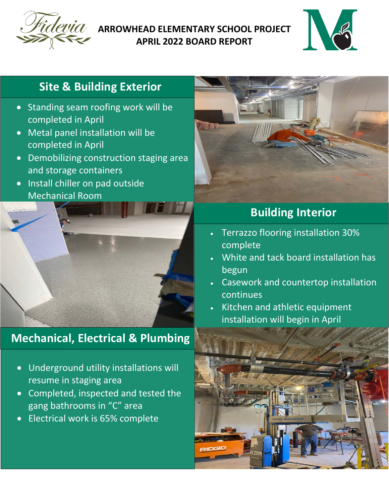

### **ARROWHEAD ELEMENTARY SCHOOL PROJECT APRIL 2022 BOARD REPORT**



## **Site & Building Exterior**

- Standing seam roofing work will be completed in April
- Metal panel installation will be completed in April
- Demobilizing construction staging area and storage containers
- Install chiller on pad outside Mechanical Room



# **Mechanical, Electrical & Plumbing**

- Underground utility installations will resume in staging area
- Completed, inspected and tested the gang bathrooms in "C" area
- Electrical work is 65% complete



## **Building Interior**

- Terrazzo flooring installation 30% complete
- White and tack board installation has begun
- Casework and countertop installation continues
- Kitchen and athletic equipment installation will begin in April

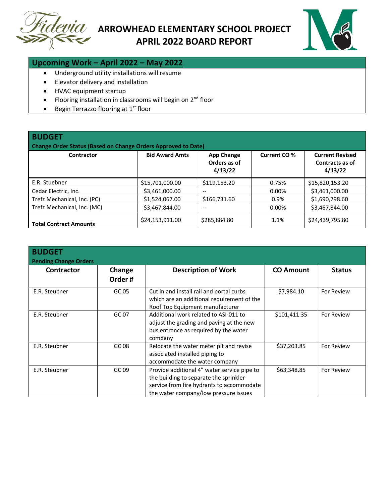



#### **Upcoming Work – April 2022 – May 2022**

- Underground utility installations will resume
- Elevator delivery and installation
- HVAC equipment startup
- Flooring installation in classrooms will begin on  $2^{nd}$  floor
- Begin Terrazzo flooring at  $1<sup>st</sup>$  floor

| <b>BUDGET</b><br><b>Change Order Status (Based on Change Orders Approved to Date)</b> |                       |                                              |                     |                                                      |  |  |
|---------------------------------------------------------------------------------------|-----------------------|----------------------------------------------|---------------------|------------------------------------------------------|--|--|
| Contractor                                                                            | <b>Bid Award Amts</b> | <b>App Change</b><br>Orders as of<br>4/13/22 | <b>Current CO %</b> | <b>Current Revised</b><br>Contracts as of<br>4/13/22 |  |  |
| E.R. Stuebner                                                                         | \$15,701,000.00       | \$119,153.20                                 | 0.75%               | \$15,820,153.20                                      |  |  |
| Cedar Electric, Inc.                                                                  | \$3,461,000.00        | --                                           | $0.00\%$            | \$3,461,000.00                                       |  |  |
| Trefz Mechanical, Inc. (PC)                                                           | \$1,524,067.00        | \$166,731.60                                 | 0.9%                | \$1,690,798.60                                       |  |  |
| Trefz Mechanical, Inc. (MC)                                                           | \$3,467,844.00        | --                                           | 0.00%               | \$3,467,844.00                                       |  |  |
| <b>Total Contract Amounts</b>                                                         | \$24,153,911.00       | \$285,884.80                                 | 1.1%                | \$24,439,795.80                                      |  |  |

| <b>BUDGET</b><br><b>Pending Change Orders</b> |                  |                                                                                                                                                                             |                  |               |  |  |
|-----------------------------------------------|------------------|-----------------------------------------------------------------------------------------------------------------------------------------------------------------------------|------------------|---------------|--|--|
| Contractor                                    | Change<br>Order# | <b>Description of Work</b>                                                                                                                                                  | <b>CO Amount</b> | <b>Status</b> |  |  |
| E.R. Steubner                                 | GC 05            | Cut in and install rail and portal curbs<br>which are an additional requirement of the<br>Roof Top Equipment manufacturer                                                   | \$7,984.10       | For Review    |  |  |
| E.R. Steubner                                 | GC 07            | Additional work related to ASI-011 to<br>adjust the grading and paving at the new<br>bus entrance as required by the water<br>company                                       | \$101,411.35     | For Review    |  |  |
| E.R. Steubner                                 | GC 08            | Relocate the water meter pit and revise<br>associated installed piping to<br>accommodate the water company                                                                  | \$37,203.85      | For Review    |  |  |
| E.R. Steubner                                 | GC 09            | Provide additional 4" water service pipe to<br>the building to separate the sprinkler<br>service from fire hydrants to accommodate<br>the water company/low pressure issues | \$63,348.85      | For Review    |  |  |